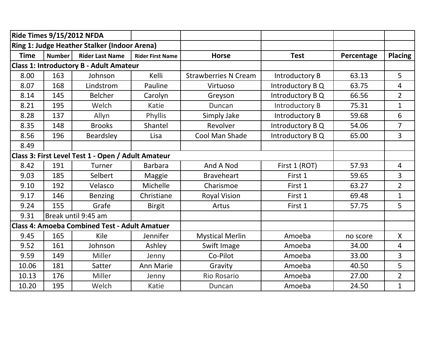| <b>Ride Times 9/15/2012 NFDA</b>               |               |                                                      |                         |                             |                  |            |                |
|------------------------------------------------|---------------|------------------------------------------------------|-------------------------|-----------------------------|------------------|------------|----------------|
|                                                |               | Ring 1: Judge Heather Stalker (Indoor Arena)         |                         |                             |                  |            |                |
| <b>Time</b>                                    | <b>Number</b> | <b>Rider Last Name</b>                               | <b>Rider First Name</b> | <b>Horse</b>                | <b>Test</b>      | Percentage | <b>Placing</b> |
| <b>Class 1: Introductory B - Adult Amateur</b> |               |                                                      |                         |                             |                  |            |                |
| 8.00                                           | 163           | Johnson                                              | Kelli                   | <b>Strawberries N Cream</b> | Introductory B   | 63.13      | 5              |
| 8.07                                           | 168           | Lindstrom                                            | Pauline                 | Virtuoso                    | Introductory B Q | 63.75      | $\overline{4}$ |
| 8.14                                           | 145           | <b>Belcher</b>                                       | Carolyn                 | Greyson                     | Introductory B Q | 66.56      | $\overline{2}$ |
| 8.21                                           | 195           | Welch                                                | Katie                   | Duncan                      | Introductory B   | 75.31      | $\mathbf{1}$   |
| 8.28                                           | 137           | Allyn                                                | Phyllis                 | Simply Jake                 | Introductory B   | 59.68      | 6              |
| 8.35                                           | 148           | <b>Brooks</b>                                        | Shantel                 | Revolver                    | Introductory B Q | 54.06      | $\overline{7}$ |
| 8.56                                           | 196           | Beardsley                                            | Lisa                    | Cool Man Shade              | Introductory B Q | 65.00      | $\overline{3}$ |
| 8.49                                           |               |                                                      |                         |                             |                  |            |                |
|                                                |               | Class 3: First Level Test 1 - Open / Adult Amateur   |                         |                             |                  |            |                |
| 8.42                                           | 191           | Turner                                               | <b>Barbara</b>          | And A Nod                   | First 1 (ROT)    | 57.93      | $\overline{4}$ |
| 9.03                                           | 185           | Selbert                                              | Maggie                  | <b>Braveheart</b>           | First 1          | 59.65      | 3              |
| 9.10                                           | 192           | Velasco                                              | Michelle                | Charismoe                   | First 1          | 63.27      | $\overline{2}$ |
| 9.17                                           | 146           | <b>Benzing</b>                                       | Christiane              | <b>Royal Vision</b>         | First 1          | 69.48      | $\mathbf{1}$   |
| 9.24                                           | 155           | Grafe                                                | <b>Birgit</b>           | Artus                       | First 1          | 57.75      | 5              |
| 9.31                                           |               | Break until 9:45 am                                  |                         |                             |                  |            |                |
|                                                |               | <b>Class 4: Amoeba Combined Test - Adult Amatuer</b> |                         |                             |                  |            |                |
| 9.45                                           | 165           | Kile                                                 | Jennifer                | <b>Mystical Merlin</b>      | Amoeba           | no score   | $\mathsf{X}$   |
| 9.52                                           | 161           | Johnson                                              | Ashley                  | Swift Image                 | Amoeba           | 34.00      | $\overline{4}$ |
| 9.59                                           | 149           | Miller                                               | Jenny                   | Co-Pilot                    | Amoeba           | 33.00      | 3              |
| 10.06                                          | 181           | Satter                                               | Ann Marie               | Gravity                     | Amoeba           | 40.50      | 5              |
| 10.13                                          | 176           | Miller                                               | Jenny                   | <b>Rio Rosario</b>          | Amoeba           | 27.00      | $\overline{2}$ |
| 10.20                                          | 195           | Welch                                                | Katie                   | Duncan                      | Amoeba           | 24.50      | $\mathbf{1}$   |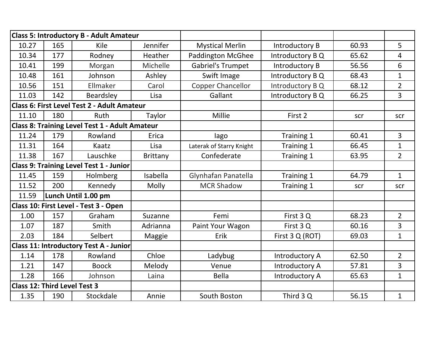|                                     |     | <b>Class 5: Introductory B - Adult Amateur</b>        |          |                          |                  |       |                |
|-------------------------------------|-----|-------------------------------------------------------|----------|--------------------------|------------------|-------|----------------|
| 10.27                               | 165 | Kile                                                  | Jennifer | <b>Mystical Merlin</b>   | Introductory B   | 60.93 | 5              |
| 10.34                               | 177 | Rodney                                                | Heather  | <b>Paddington McGhee</b> | Introductory B Q | 65.62 | $\overline{4}$ |
| 10.41                               | 199 | Morgan                                                | Michelle | <b>Gabriel's Trumpet</b> | Introductory B   | 56.56 | 6              |
| 10.48                               | 161 | Johnson                                               | Ashley   | Swift Image              | Introductory B Q | 68.43 | $\mathbf{1}$   |
| 10.56                               | 151 | Ellmaker                                              | Carol    | <b>Copper Chancellor</b> | Introductory B Q | 68.12 | $\overline{2}$ |
| 11.03                               | 142 | Beardsley                                             | Lisa     | Gallant                  | Introductory B Q | 66.25 | $\overline{3}$ |
|                                     |     | Class 6: First Level Test 2 - Adult Amateur           |          |                          |                  |       |                |
| 11.10                               | 180 | Ruth                                                  | Taylor   | Millie                   | First 2          | scr   | scr            |
|                                     |     | <b>Class 8: Training Level Test 1 - Adult Amateur</b> |          |                          |                  |       |                |
| 11.24                               | 179 | Rowland                                               | Erica    | lago                     | Training 1       | 60.41 | $\overline{3}$ |
| 11.31                               | 164 | Kaatz                                                 | Lisa     | Laterak of Starry Knight | Training 1       | 66.45 | $\mathbf{1}$   |
| 11.38                               | 167 | Lauschke                                              | Brittany | Confederate              | Training 1       | 63.95 | $\overline{2}$ |
|                                     |     | <b>Class 9: Training Level Test 1 - Junior</b>        |          |                          |                  |       |                |
| 11.45                               | 159 | Holmberg                                              | Isabella | Glynhafan Panatella      | Training 1       | 64.79 | $\mathbf{1}$   |
| 11.52                               | 200 | Kennedy                                               | Molly    | <b>MCR Shadow</b>        | Training 1       | scr   | scr            |
| 11.59                               |     | Lunch Until 1.00 pm                                   |          |                          |                  |       |                |
|                                     |     | Class 10: First Level - Test 3 - Open                 |          |                          |                  |       |                |
| 1.00                                | 157 | Graham                                                | Suzanne  | Femi                     | First 3 Q        | 68.23 | $\overline{2}$ |
| 1.07                                | 187 | Smith                                                 | Adrianna | Paint Your Wagon         | First 3 Q        | 60.16 | 3              |
| 2.03                                | 184 | Selbert                                               | Maggie   | Erik                     | First 3 Q (ROT)  | 69.03 | $\mathbf{1}$   |
|                                     |     | <b>Class 11: Introductory Test A - Junior</b>         |          |                          |                  |       |                |
| 1.14                                | 178 | Rowland                                               | Chloe    | Ladybug                  | Introductory A   | 62.50 | $\overline{2}$ |
| 1.21                                | 147 | <b>Boock</b>                                          | Melody   | Venue                    | Introductory A   | 57.81 | 3              |
| 1.28                                | 166 | Johnson                                               | Laina    | <b>Bella</b>             | Introductory A   | 65.63 | $\mathbf{1}$   |
| <b>Class 12: Third Level Test 3</b> |     |                                                       |          |                          |                  |       |                |
| 1.35                                | 190 | Stockdale                                             | Annie    | South Boston             | Third 3 Q        | 56.15 | $\mathbf{1}$   |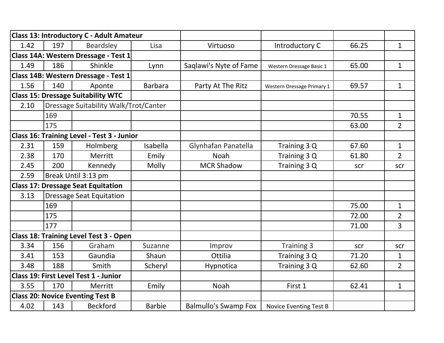|      |     | <b>Class 13: Introductory C - Adult Amateur</b>   |                |                             |                            |       |                |
|------|-----|---------------------------------------------------|----------------|-----------------------------|----------------------------|-------|----------------|
| 1.42 | 197 | <b>Beardsley</b>                                  | Lisa           | Virtuoso                    | Introductory C             | 66.25 | $\mathbf{1}$   |
|      |     | Class 14A: Western Dressage - Test 1              |                |                             |                            |       |                |
| 1.49 | 186 | Shinkle                                           | Lynn           | Saqlawi's Nyte of Fame      | Western Dressage Basic 1   | 65.00 | $\mathbf{1}$   |
|      |     | Class 14B: Western Dressage - Test 1              |                |                             |                            |       |                |
| 1.56 | 140 | Aponte                                            | <b>Barbara</b> | Party At The Ritz           | Western Dressage Primary 1 | 69.57 | $\mathbf{1}$   |
|      |     | <b>Class 15: Dressage Suitability WTC</b>         |                |                             |                            |       |                |
| 2.10 |     | Dressage Suitability Walk/Trot/Canter             |                |                             |                            |       |                |
|      | 169 |                                                   |                |                             |                            | 70.55 | $\mathbf{1}$   |
|      | 175 |                                                   |                |                             |                            | 63.00 | $\overline{2}$ |
|      |     | <b>Class 16: Training Level - Test 3 - Junior</b> |                |                             |                            |       |                |
| 2.31 | 159 | Holmberg                                          | Isabella       | Glynhafan Panatella         | Training 3 Q               | 67.60 | $\mathbf{1}$   |
| 2.38 | 170 | Merritt                                           | Emily          | <b>Noah</b>                 | Training 3 Q               | 61.80 | $\overline{2}$ |
| 2.45 | 200 | Kennedy                                           | Molly          | <b>MCR Shadow</b>           | Training 3 Q               | scr   | scr            |
| 2.59 |     | Break Until 3:13 pm                               |                |                             |                            |       |                |
|      |     | <b>Class 17: Dressage Seat Equitation</b>         |                |                             |                            |       |                |
| 3.13 |     | <b>Dressage Seat Equitation</b>                   |                |                             |                            |       |                |
|      | 169 |                                                   |                |                             |                            | 75.00 | $\mathbf{1}$   |
|      | 175 |                                                   |                |                             |                            | 72.00 | $\overline{2}$ |
|      | 177 |                                                   |                |                             |                            | 71.00 | $\overline{3}$ |
|      |     | <b>Class 18: Training Level Test 3 - Open</b>     |                |                             |                            |       |                |
| 3.34 | 156 | Graham                                            | Suzanne        | Improv                      | Training 3                 | scr   | scr            |
| 3.41 | 153 | Gaundia                                           | Shaun          | Ottilia                     | Training 3 Q               | 71.20 | $\mathbf{1}$   |
| 3.48 | 188 | Smith                                             | Scheryl        | Hypnotica                   | Training 3 Q               | 62.60 | $2^{\circ}$    |
|      |     | <b>Class 19: First Level Test 1 - Junior</b>      |                |                             |                            |       |                |
| 3.55 | 170 | Merritt                                           | Emily          | <b>Noah</b>                 | First 1                    | 62.41 | $\mathbf{1}$   |
|      |     | <b>Class 20: Novice Eventing Test B</b>           |                |                             |                            |       |                |
| 4.02 | 143 | <b>Beckford</b>                                   | <b>Barbie</b>  | <b>Balmullo's Swamp Fox</b> | Novice Eventing Test B     |       |                |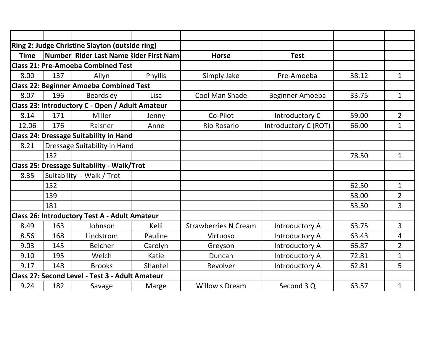|             |     | Ring 2: Judge Christine Slayton (outside ring)       |         |                             |                       |       |                |
|-------------|-----|------------------------------------------------------|---------|-----------------------------|-----------------------|-------|----------------|
| <b>Time</b> |     | Number Rider Last Name kider First Nam               |         | <b>Horse</b>                | <b>Test</b>           |       |                |
|             |     | <b>Class 21: Pre-Amoeba Combined Test</b>            |         |                             |                       |       |                |
| 8.00        | 137 | Allyn                                                | Phyllis | Simply Jake                 | Pre-Amoeba            | 38.12 | $\mathbf{1}$   |
|             |     | <b>Class 22: Beginner Amoeba Combined Test</b>       |         |                             |                       |       |                |
| 8.07        | 196 | Beardsley                                            | Lisa    | Cool Man Shade              | Beginner Amoeba       | 33.75 | $\mathbf{1}$   |
|             |     | Class 23: Introductory C - Open / Adult Amateur      |         |                             |                       |       |                |
| 8.14        | 171 | Miller                                               | Jenny   | Co-Pilot                    | Introductory C        | 59.00 | $\overline{2}$ |
| 12.06       | 176 | Raisner                                              | Anne    | <b>Rio Rosario</b>          | Introductory C (ROT)  | 66.00 | 1              |
|             |     | <b>Class 24: Dressage Suitability in Hand</b>        |         |                             |                       |       |                |
| 8.21        |     | Dressage Suitability in Hand                         |         |                             |                       |       |                |
|             | 152 |                                                      |         |                             |                       | 78.50 | $\mathbf{1}$   |
|             |     | <b>Class 25: Dressage Suitability - Walk/Trot</b>    |         |                             |                       |       |                |
| 8.35        |     | Suitability - Walk / Trot                            |         |                             |                       |       |                |
|             | 152 |                                                      |         |                             |                       | 62.50 | $\mathbf{1}$   |
|             | 159 |                                                      |         |                             |                       | 58.00 | $\overline{2}$ |
|             | 181 |                                                      |         |                             |                       | 53.50 | $\overline{3}$ |
|             |     | <b>Class 26: Introductory Test A - Adult Amateur</b> |         |                             |                       |       |                |
| 8.49        | 163 | Johnson                                              | Kelli   | <b>Strawberries N Cream</b> | Introductory A        | 63.75 | $\overline{3}$ |
| 8.56        | 168 | Lindstrom                                            | Pauline | Virtuoso                    | Introductory A        | 63.43 | 4              |
| 9.03        | 145 | <b>Belcher</b>                                       | Carolyn | Greyson                     | Introductory A        | 66.87 | $\overline{2}$ |
| 9.10        | 195 | Welch                                                | Katie   | Duncan                      | Introductory A        | 72.81 | $\mathbf{1}$   |
| 9.17        | 148 | <b>Brooks</b>                                        | Shantel | Revolver                    | <b>Introductory A</b> | 62.81 | 5              |
|             |     | Class 27: Second Level - Test 3 - Adult Amateur      |         |                             |                       |       |                |
| 9.24        | 182 | Savage                                               | Marge   | <b>Willow's Dream</b>       | Second 3 Q            | 63.57 | $\mathbf{1}$   |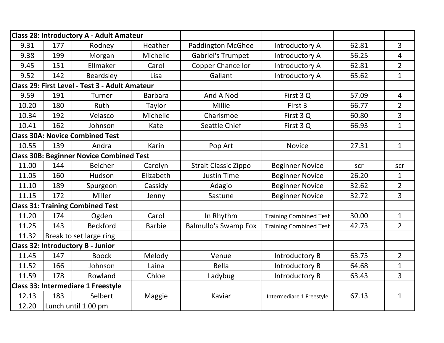|                                                |     | Class 28: Introductory A - Adult Amateur        |                |                             |                               |       |                 |
|------------------------------------------------|-----|-------------------------------------------------|----------------|-----------------------------|-------------------------------|-------|-----------------|
| 9.31                                           | 177 | Rodney                                          | Heather        | <b>Paddington McGhee</b>    | Introductory A                | 62.81 | $\overline{3}$  |
| 9.38                                           | 199 | Morgan                                          | Michelle       | <b>Gabriel's Trumpet</b>    | Introductory A                | 56.25 | $\overline{4}$  |
| 9.45                                           | 151 | Ellmaker                                        | Carol          | <b>Copper Chancellor</b>    | Introductory A                | 62.81 | $\overline{2}$  |
| 9.52                                           | 142 | <b>Beardsley</b>                                | Lisa           | Gallant                     | Introductory A                | 65.62 | $\mathbf{1}$    |
| Class 29: First Level - Test 3 - Adult Amateur |     |                                                 |                |                             |                               |       |                 |
| 9.59                                           | 191 | Turner                                          | <b>Barbara</b> | And A Nod                   | First 3 Q                     | 57.09 | $\overline{4}$  |
| 10.20                                          | 180 | <b>Ruth</b>                                     | Taylor         | Millie                      | First 3                       | 66.77 | $\overline{2}$  |
| 10.34                                          | 192 | Velasco                                         | Michelle       | Charismoe                   | First 3Q                      | 60.80 | $\overline{3}$  |
| 10.41                                          | 162 | Johnson                                         | Kate           | Seattle Chief               | First 3Q                      | 66.93 | $\mathbf{1}$    |
|                                                |     | <b>Class 30A: Novice Combined Test</b>          |                |                             |                               |       |                 |
| 10.55                                          | 139 | Andra                                           | Karin          | Pop Art                     | <b>Novice</b>                 | 27.31 | $\mathbf{1}$    |
|                                                |     | <b>Class 30B: Beginner Novice Combined Test</b> |                |                             |                               |       |                 |
| 11.00                                          | 144 | <b>Belcher</b>                                  | Carolyn        | <b>Strait Classic Zippo</b> | <b>Beginner Novice</b>        | scr   | scr             |
| 11.05                                          | 160 | Hudson                                          | Elizabeth      | <b>Justin Time</b>          | <b>Beginner Novice</b>        | 26.20 | $\mathbf{1}$    |
| 11.10                                          | 189 | Spurgeon                                        | Cassidy        | Adagio                      | <b>Beginner Novice</b>        | 32.62 | $2\overline{ }$ |
| 11.15                                          | 172 | Miller                                          | Jenny          | Sastune                     | <b>Beginner Novice</b>        | 32.72 | $\overline{3}$  |
|                                                |     | <b>Class 31: Training Combined Test</b>         |                |                             |                               |       |                 |
| 11.20                                          | 174 | Ogden                                           | Carol          | In Rhythm                   | <b>Training Combined Test</b> | 30.00 | $\mathbf{1}$    |
| 11.25                                          | 143 | <b>Beckford</b>                                 | <b>Barbie</b>  | <b>Balmullo's Swamp Fox</b> | <b>Training Combined Test</b> | 42.73 | $\overline{2}$  |
| 11.32                                          |     | Break to set large ring                         |                |                             |                               |       |                 |
|                                                |     | <b>Class 32: Introductory B - Junior</b>        |                |                             |                               |       |                 |
| 11.45                                          | 147 | <b>Boock</b>                                    | Melody         | Venue                       | Introductory B                | 63.75 | $\overline{2}$  |
| 11.52                                          | 166 | Johnson                                         | Laina          | <b>Bella</b>                | <b>Introductory B</b>         | 64.68 | $\mathbf{1}$    |
| 11.59                                          | 178 | Rowland                                         | Chloe          | Ladybug                     | Introductory B                | 63.43 | $\overline{3}$  |
|                                                |     | <b>Class 33: Intermediare 1 Freestyle</b>       |                |                             |                               |       |                 |
| 12.13                                          | 183 | Selbert                                         | Maggie         | Kaviar                      | Intermediare 1 Freestyle      | 67.13 | $\mathbf{1}$    |
| 12.20                                          |     | Lunch until 1.00 pm                             |                |                             |                               |       |                 |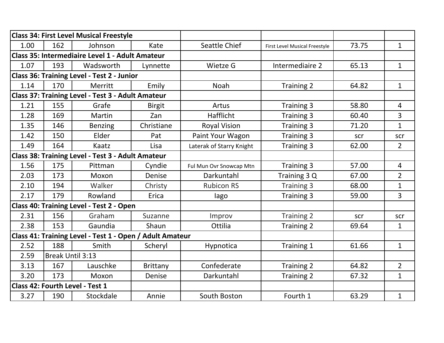|                                                   |                  | <b>Class 34: First Level Musical Freestyle</b>           |               |                          |                               |       |                |
|---------------------------------------------------|------------------|----------------------------------------------------------|---------------|--------------------------|-------------------------------|-------|----------------|
| 1.00                                              | 162              | Johnson                                                  | Kate          | Seattle Chief            | First Level Musical Freestyle | 73.75 | $\mathbf{1}$   |
|                                                   |                  | Class 35: Intermediaire Level 1 - Adult Amateur          |               |                          |                               |       |                |
| 1.07                                              | 193              | Wadsworth                                                | Lynnette      | Wietze G                 | Intermediaire 2               | 65.13 | $\mathbf{1}$   |
|                                                   |                  | <b>Class 36: Training Level - Test 2 - Junior</b>        |               |                          |                               |       |                |
| 1.14                                              | 170              | Merritt                                                  | Emily         | <b>Noah</b>              | Training 2                    | 64.82 | $\mathbf{1}$   |
| Class 37: Training Level - Test 3 - Adult Amateur |                  |                                                          |               |                          |                               |       |                |
| 1.21                                              | 155              | Grafe                                                    | <b>Birgit</b> | Artus                    | Training 3                    | 58.80 | 4              |
| 1.28                                              | 169              | Martin                                                   | Zan           | Hafflicht                | Training 3                    | 60.40 | $\overline{3}$ |
| 1.35                                              | 146              | <b>Benzing</b>                                           | Christiane    | <b>Royal Vision</b>      | Training 3                    | 71.20 | $\mathbf{1}$   |
| 1.42                                              | 150              | Elder                                                    | Pat           | Paint Your Wagon         | <b>Training 3</b>             | scr   | scr            |
| 1.49                                              | 164              | Kaatz                                                    | Lisa          | Laterak of Starry Knight | Training 3                    | 62.00 | $\overline{2}$ |
|                                                   |                  | Class 38: Training Level - Test 3 - Adult Amateur        |               |                          |                               |       |                |
| 1.56                                              | 175              | Pittman                                                  | Cyndie        | Ful Mun Ovr Snowcap Mtn  | Training 3                    | 57.00 | 4              |
| 2.03                                              | 173              | Moxon                                                    | Denise        | Darkuntahl               | Training 3 Q                  | 67.00 | $\overline{2}$ |
| 2.10                                              | 194              | Walker                                                   | Christy       | <b>Rubicon RS</b>        | Training 3                    | 68.00 | $\mathbf{1}$   |
| 2.17                                              | 179              | Rowland                                                  | Erica         | lago                     | Training 3                    | 59.00 | $\overline{3}$ |
|                                                   |                  | <b>Class 40: Training Level - Test 2 - Open</b>          |               |                          |                               |       |                |
| 2.31                                              | 156              | Graham                                                   | Suzanne       | Improv                   | Training 2                    | scr   | scr            |
| 2.38                                              | 153              | Gaundia                                                  | Shaun         | Ottilia                  | <b>Training 2</b>             | 69.64 | $\mathbf{1}$   |
|                                                   |                  | Class 41: Training Level - Test 1 - Open / Adult Amateur |               |                          |                               |       |                |
| 2.52                                              | 188              | Smith                                                    | Scheryl       | Hypnotica                | Training 1                    | 61.66 | $\mathbf{1}$   |
| 2.59                                              | Break Until 3:13 |                                                          |               |                          |                               |       |                |
| 3.13                                              | 167              | Lauschke                                                 | Brittany      | Confederate              | Training 2                    | 64.82 | $\overline{2}$ |
| 3.20                                              | 173              | Moxon                                                    | Denise        | Darkuntahl               | Training 2                    | 67.32 | $\mathbf{1}$   |
|                                                   |                  | Class 42: Fourth Level - Test 1                          |               |                          |                               |       |                |
| 3.27                                              | 190              | Stockdale                                                | Annie         | South Boston             | Fourth 1                      | 63.29 | $\mathbf{1}$   |